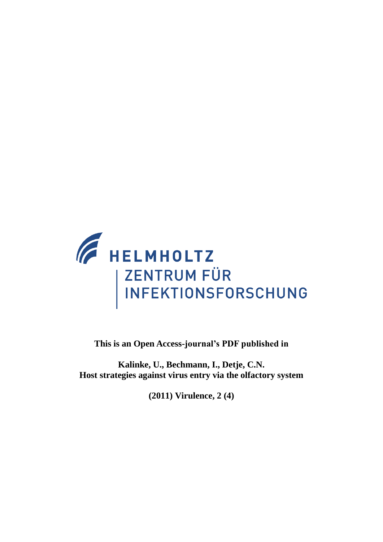

**This is an Open Access-journal's PDF published in**

**Kalinke, U., Bechmann, I., Detje, C.N. Host strategies against virus entry via the olfactory system**

**(2011) Virulence, 2 (4)**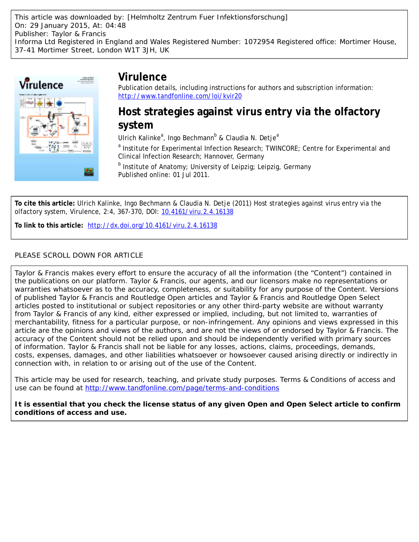This article was downloaded by: [Helmholtz Zentrum Fuer Infektionsforschung] On: 29 January 2015, At: 04:48 Publisher: Taylor & Francis Informa Ltd Registered in England and Wales Registered Number: 1072954 Registered office: Mortimer House, 37-41 Mortimer Street, London W1T 3JH, UK



## **Virulence**

Publication details, including instructions for authors and subscription information: <http://www.tandfonline.com/loi/kvir20>

## **Host strategies against virus entry via the olfactory system**

Ulrich Kalinke<sup>a</sup>, Ingo Bechmann<sup>b</sup> & Claudia N. Detje<sup>a</sup>

<sup>a</sup> Institute for Experimental Infection Research; TWINCORE; Centre for Experimental and Clinical Infection Research; Hannover, Germany

<sup>b</sup> Institute of Anatomy; University of Leipzig; Leipzig, Germany Published online: 01 Jul 2011.

**To cite this article:** Ulrich Kalinke, Ingo Bechmann & Claudia N. Detje (2011) Host strategies against virus entry via the olfactory system, Virulence, 2:4, 367-370, DOI: [10.4161/viru.2.4.16138](http://www.tandfonline.com/action/showCitFormats?doi=10.4161/viru.2.4.16138)

**To link to this article:** <http://dx.doi.org/10.4161/viru.2.4.16138>

## PLEASE SCROLL DOWN FOR ARTICLE

Taylor & Francis makes every effort to ensure the accuracy of all the information (the "Content") contained in the publications on our platform. Taylor & Francis, our agents, and our licensors make no representations or warranties whatsoever as to the accuracy, completeness, or suitability for any purpose of the Content. Versions of published Taylor & Francis and Routledge Open articles and Taylor & Francis and Routledge Open Select articles posted to institutional or subject repositories or any other third-party website are without warranty from Taylor & Francis of any kind, either expressed or implied, including, but not limited to, warranties of merchantability, fitness for a particular purpose, or non-infringement. Any opinions and views expressed in this article are the opinions and views of the authors, and are not the views of or endorsed by Taylor & Francis. The accuracy of the Content should not be relied upon and should be independently verified with primary sources of information. Taylor & Francis shall not be liable for any losses, actions, claims, proceedings, demands, costs, expenses, damages, and other liabilities whatsoever or howsoever caused arising directly or indirectly in connection with, in relation to or arising out of the use of the Content.

This article may be used for research, teaching, and private study purposes. Terms & Conditions of access and use can be found at <http://www.tandfonline.com/page/terms-and-conditions>

**It is essential that you check the license status of any given Open and Open Select article to confirm conditions of access and use.**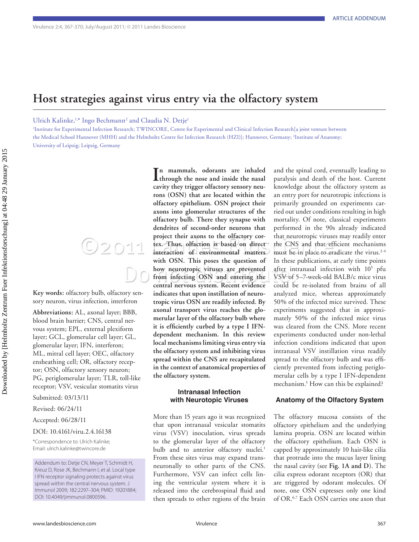# **Host strategies against virus entry via the olfactory system**

Ulrich Kalinke,<sup>1,\*</sup> Ingo Bechmann<sup>2</sup> and Claudia N. Detje<sup>1</sup>

1 Institute for Experimental Infection Research; TWINCORE, Centre for Experimental and Clinical Infection Research[a joint venture between the Medical School Hannover (MHH) and the Helmholtz Centre for Infection Research (HZI)]; Hannover, Germany; <sup>2</sup>Institute of Anatomy; University of Leipzig; Leipzig, Germany

 $O2011$ 

**Key words:** olfactory bulb, olfactory sensory neuron, virus infection, interferon

**Abbreviations:** AL, axonal layer; BBB, blood brain barrier; CNS, central nervous system; EPL, external plexiform layer; GCL, glomerular cell layer; GL, glomerular layer; IFN, interferon; ML, mitral cell layer; OEC, olfactory ensheathing cell; OR, olfactory receptor; OSN, olfactory sensory neuron; PG, periglomerular layer; TLR, toll-like receptor; VSV, vesicular stomatits virus

Submitted: 03/13/11

Revised: 06/24/11

Accepted: 06/28/11

### DOI: 10.4161/viru.2.4.16138

\*Correspondence to: Ulrich Kalinke; Email: ulrich.kalinke@twincore.de

how neurotropic viruses are prevented after intranasa<br>from infecting OSN and entering the VSV of 5-7-we<br>central nervous system. Recent evidence could be re-is In mammals, odorants are inhaled<br>through the nose and inside the nasal **through the nose and inside the nasal cavity they trigger olfactory sensory neurons (OSN) that are located within the olfactory epithelium. OSN project their axons into glomerular structures of the olfactory bulb. There they synapse with dendrites of second-order neurons that project their axons to the olfactory cortex. Thus, olfaction is based on direct interaction of environmental matters with OSN. This poses the question of how neurotropic viruses are prevented from infecting OSN and entering the central nervous system. Recent evidence indicates that upon instillation of neurotropic virus OSN are readily infected. By axonal transport virus reaches the glomerular layer of the olfactory bulb where it is efficiently curbed by a type I IFNdependent mechanism. In this review local mechanisms limiting virus entry via the olfactory system and inhibiting virus spread within the CNS are recapitulated in the context of anatomical properties of the olfactory system.**

### **Intranasal Infection with Neurotopic Viruses**

More than 15 years ago it was recognized that upon intranasal vesicular stomatits virus (VSV) inoculation, virus spreads to the glomerular layer of the olfactory bulb and to anterior olfactory nuclei.<sup>1</sup> From these sites virus may expand transneuronally to other parts of the CNS. Furthermore, VSV can infect cells lining the ventricular system where it is released into the cerebrospinal fluid and then spreads to other regions of the brain

and the spinal cord, eventually leading to paralysis and death of the host. Current knowledge about the olfactory system as an entry port for neurotropic infections is primarily grounded on experiments carried out under conditions resulting in high mortality. Of note, classical experiments performed in the 90s already indicated that neurotropic viruses may readily enter the CNS and that efficient mechanisms must be in place to eradicate the virus.<sup>2-4</sup> In these publications, at early time points after intranasal infection with 10<sup>5</sup> pfu VSV of 5–7-week-old BALB/c mice virus could be re-isolated from brains of all analyzed mice, whereas approximately 50% of the infected mice survived. These experiments suggested that in approximately 50% of the infected mice virus was cleared from the CNS. More recent experiments conducted under non-lethal infection conditions indicated that upon intranasal VSV instillation virus readily spread to the olfactory bulb and was efficiently prevented from infecting periglomerular cells by a type I IFN-dependent mechanism.5 How can this be explained?

### **Anatomy of the Olfactory System**

The olfactory mucosa consists of the olfactory epithelium and the underlying lamina propria. OSN are located within the olfactory epithelium. Each OSN is capped by approximately 10 hair-like cilia that protrude into the mucus layer lining the nasal cavity (see **Fig. 1A and D**). The cilia express odorant receptors (OR) that are triggered by odorant molecules. Of note, one OSN expresses only one kind of OR.6,7 Each OSN carries one axon that

Addendum to: Detje CN, Meyer T, Schmidt H, Kreuz D, Rose JK, Bechmann I, et al. Local type I IFN receptor signaling protects against virus spread within the central nervous system. J Immunol 2009; 182:2297–304; PMID: 19201884; DOI: 10.4049/jimmunol.0800596.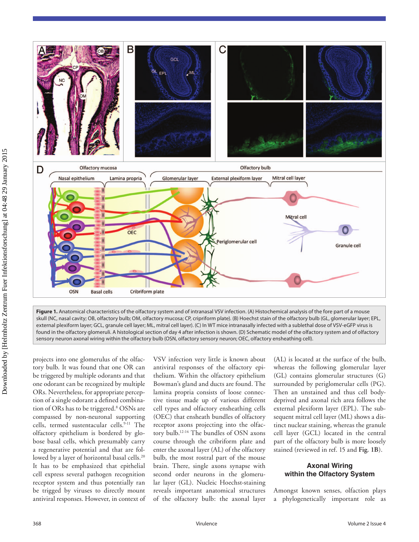

**Figure 1.** Anatomical characteristics of the olfactory system and of intranasal VSV infection. (A) Histochemical analysis of the fore part of a mouse skull (NC , nasal cavity; OB, olfactory bulb; OM, olfactory mucosa; CP, cripriform plate). (B) Hoechst stain of the olfactory bulb (GL, glomerular layer; EPL, external plexiform layer; GCL, granule cell layer; ML, mitral cell layer). (C) In WT mice intranasally infected with a sublethal dose of VSV-eGFP virus is found in the olfactory glomeruli. A histological section of day 4 after infection is shown. (D) Schematic model of the olfactory system and of olfactory sensory neuron axonal wiring within the olfactory bulb (OSN, olfactory sensory neuron; OEC , olfactory ensheathing cell).

projects into one glomerulus of the olfactory bulb. It was found that one OR can be triggered by multiple odorants and that one odorant can be recognized by multiple ORs. Nevertheless, for appropriate perception of a single odorant a defined combination of ORs has to be triggered.<sup>8</sup> OSNs are compassed by non-neuronal supporting cells, termed sustentacular cells.9-11 The olfactory epithelium is bordered by globose basal cells, which presumably carry a regenerative potential and that are followed by a layer of horizontal basal cells.<sup>20</sup> It has to be emphasized that epithelial cell express several pathogen recognition receptor system and thus potentially ran be trigged by viruses to directly mount antiviral responses. However, in context of

VSV infection very little is known about antiviral responses of the olfactory epithelium. Within the olfactory epithelium Bowman's gland and ducts are found. The lamina propria consists of loose connective tissue made up of various different cell types and olfactory ensheathing cells (OEC) that ensheath bundles of olfactory receptor axons projecting into the olfactory bulb.12-14 The bundles of OSN axons course through the cribriform plate and enter the axonal layer (AL) of the olfactory bulb, the most rostral part of the mouse brain. There, single axons synapse with second order neurons in the glomerular layer (GL). Nucleic Hoechst-staining reveals important anatomical structures of the olfactory bulb: the axonal layer

(AL) is located at the surface of the bulb, whereas the following glomerular layer (GL) contains glomerular structures (G) surrounded by periglomerular cells (PG). Then an unstained and thus cell bodydeprived and axonal rich area follows the external plexiform layer (EPL). The subsequent mitral cell layer (ML) shows a distinct nuclear staining, whereas the granule cell layer (GCL) located in the central part of the olfactory bulb is more loosely stained (reviewed in ref. 15 and **Fig. 1B**).

## **Axonal Wiring within the Olfactory System**

Amongst known senses, olfaction plays a phylogenetically important role as

Downloaded by [Helmholtz Zentrum Fuer Infektionsforschung] at 04:48 29 January 2015

Downloaded by [Helmholtz Zentrum Fuer Infektionsforschung] at 04:48 29 January 2015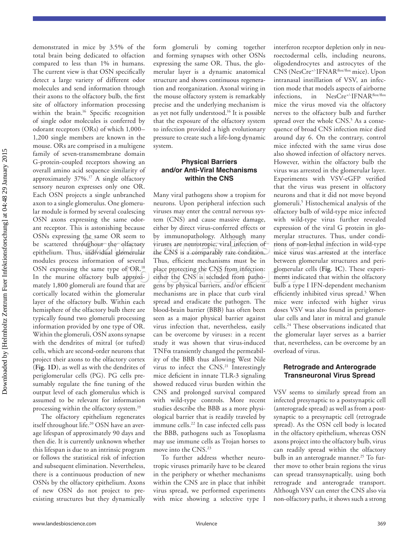demonstrated in mice by 3.5% of the total brain being dedicated to olfaction compared to less than 1% in humans. The current view is that OSN specifically detect a large variety of different odor molecules and send information through their axons to the olfactory bulb, the first site of olfactory information processing within the brain.16 Specific recognition of single odor molecules is conferred by odorant receptors (ORs) of which 1,000– 1,200 single members are known in the mouse. ORs are comprised in a multigene family of seven-transmembrane domain G-protein-coupled receptors showing an overall amino acid sequence similarity of approximately 37%.17 A single olfactory sensory neuron expresses only one OR. Each OSN projects a single unbranched axon to a single glomerulus. One glomerular module is formed by several coalescing OSN axons expressing the same odorant receptor. This is astonishing because OSNs expressing the same OR seem to be scattered throughout the olfactory epithelium. Thus, individual glomerular modules process information of several OSN expressing the same type of OR.18 In the murine olfactory bulb approximately 1,800 glomeruli are found that are cortically located within the glomerular layer of the olfactory bulb. Within each hemisphere of the olfactory bulb there are typically found two glomeruli processing information provided by one type of OR. Within the glomeruli, OSN axons synapse with the dendrites of mitral (or tufted) cells, which are second-order neurons that project their axons to the olfactory cortex (**Fig. 1D**), as well as with the dendrites of periglomerular cells (PG). PG cells presumably regulate the fine tuning of the output level of each glomerulus which is assumed to be relevant for information processing within the olfactory system.19

The olfactory epithelium regenerates itself throughout life.<sup>20</sup> OSN have an average lifespan of approximately 90 days and then die. It is currently unknown whether this lifespan is due to an intrinsic program or follows the statistical risk of infection and subsequent elimination. Nevertheless, there is a continuous production of new OSNs by the olfactory epithelium. Axons of new OSN do not project to preexisting structures but they dynamically form glomeruli by coming together and forming synapses with other OSNs expressing the same OR. Thus, the glomerular layer is a dynamic anatomical structure and shows continuous regeneration and reorganization. Axonal wiring in the mouse olfactory system is remarkably precise and the underlying mechanism is as yet not fully understood.<sup>16</sup> It is possible that the exposure of the olfactory system to infection provided a high evolutionary pressure to create such a life-long dynamic system.

## **Physical Barriers and/or Anti-Viral Mechanisms within the CNS**

the same OR seem to by immunopathology. Although many merular structures. I hus, understand the olfactory viruses are neurotropic, viral infection of tions of non-lethal infection in significantly significantly the CNS is of OR.<sup>18</sup> place protecting the CNS from infection: glomerular cell<br>approxi-<br>that are gens by physical barriers and/or efficient. bulb a type I I Many viral pathogens show a tropism for neurons. Upon peripheral infection such viruses may enter the central nervous system (CNS) and cause massive damage, either by direct virus-conferred effects or by immunopathology. Although many viruses are neurotropic, viral infection of the CNS is a comparably rare condition. Thus, efficient mechanisms must be in place protecting the CNS from infection: either the CNS is secluded from pathogens by physical barriers, and/or efficient mechanisms are in place that curb viral spread and eradicate the pathogen. The blood-brain barrier (BBB) has often been seen as a major physical barrier against virus infection that, nevertheless, easily can be overcome by viruses: in a recent study it was shown that virus-induced TNFα transiently changed the permeability of the BBB thus allowing West Nile virus to infect the CNS.<sup>21</sup> Interestingly mice deficient in innate TLR-3 signaling showed reduced virus burden within the CNS and prolonged survival compared with wild-type controls. More recent studies describe the BBB as a more physiological barrier that is readily traveled by immune cells.<sup>22</sup> In case infected cells pass the BBB, pathogens such as Toxoplasma may use immune cells as Trojan horses to move into the CNS.<sup>23</sup>

> To further address whether neurotropic viruses primarily have to be cleared in the periphery or whether mechanisms within the CNS are in place that inhibit virus spread, we performed experiments with mice showing a selective type I

interferon receptor depletion only in neuroectodermal cells, including neurons, oligodendrocytes and astrocytes of the CNS (NesCre+/-IFNARflox/flox mice). Upon intranasal instillation of VSV, an infection mode that models aspects of airborne infections, in NesCre<sup>+/-</sup>IFNAR<sup>flox/flox</sup> mice the virus moved via the olfactory nerves to the olfactory bulb and further spread over the whole CNS.<sup>5</sup> As a consequence of broad CNS infection mice died around day 6. On the contrary, control mice infected with the same virus dose also showed infection of olfactory nerves. However, within the olfactory bulb the virus was arrested in the glomerular layer. Experiments with VSV-eGFP verified that the virus was present in olfactory neurons and that it did not move beyond glomeruli.5 Histochemical analysis of the olfactory bulb of wild-type mice infected with wild-type virus further revealed expression of the viral G protein in glomerular structures. Thus, under conditions of non-lethal infection in wild-type mice virus was arrested at the interface between glomerular structures and periglomerular cells (**Fig. 1C**). These experiments indicated that within the olfactory bulb a type I IFN-dependent mechanism efficiently inhibited virus spread.<sup>5</sup> When mice were infected with higher virus doses VSV was also found in periglomerular cells and later in mitral and granule cells.24 These observations indicated that the glomerular layer serves as a barrier that, nevertheless, can be overcome by an overload of virus.

## **Retrograde and Anterograde Transneuronal Virus Spread**

VSV seems to similarly spread from an infected presynaptic to a postsynaptic cell (anterograde spread) as well as from a postsynaptic to a presynaptic cell (retrograde spread). As the OSN cell body is located in the olfactory epithelium, whereas OSN axons project into the olfactory bulb, virus can readily spread within the olfactory bulb in an anterograde manner.<sup>25</sup> To further move to other brain regions the virus can spread transsynaptically, using both retrograde and anterograde transport. Although VSV can enter the CNS also via non-olfactory paths, it shows such a strong